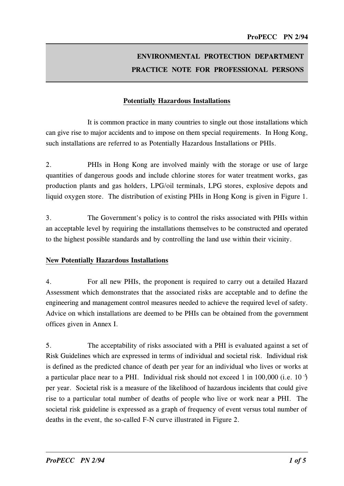# ENVIRONMENTAL PROTECTION DEPARTMENT PRACTICE NOTE FOR PROFESSIONAL PERSONS

## Potentially Hazardous Installations

It is common practice in many countries to single out those installations which can give rise to major accidents and to impose on them special requirements. In Hong Kong, such installations are referred to as Potentially Hazardous Installations or PHIs.

2. PHIs in Hong Kong are involved mainly with the storage or use of large quantities of dangerous goods and include chlorine stores for water treatment works, gas production plants and gas holders, LPG/oil terminals, LPG stores, explosive depots and liquid oxygen store. The distribution of existing PHIs in Hong Kong is given in Figure 1.

3. The Government's policy is to control the risks associated with PHIs within an acceptable level by requiring the installations themselves to be constructed and operated to the highest possible standards and by controlling the land use within their vicinity.

#### New Potentially Hazardous Installations

4. For all new PHIs, the proponent is required to carry out a detailed Hazard Assessment which demonstrates that the associated risks are acceptable and to define the engineering and management control measures needed to achieve the required level of safety. Advice on which installations are deemed to be PHIs can be obtained from the government offices given in Annex I.

5. The acceptability of risks associated with a PHI is evaluated against a set of Risk Guidelines which are expressed in terms of individual and societal risk. Individual risk is defined as the predicted chance of death per year for an individual who lives or works at a particular place near to a PHI. Individual risk should not exceed 1 in 100,000 (i.e. 10  $\overline{3}$ ) per year. Societal risk is a measure of the likelihood of hazardous incidents that could give rise to a particular total number of deaths of people who live or work near a PHI. The societal risk guideline is expressed as a graph of frequency of event versus total number of deaths in the event, the so-called F-N curve illustrated in Figure 2.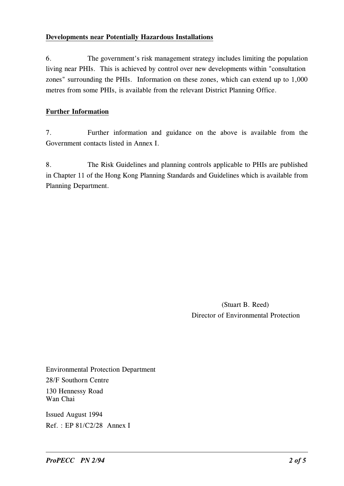#### Developments near Potentially Hazardous Installations

 living near PHIs. This is achieved by control over new developments within "consultation 6. The government's risk management strategy includes limiting the population zones" surrounding the PHIs. Information on these zones, which can extend up to 1,000 metres from some PHIs, is available from the relevant District Planning Office.

### Further Information

7. Further information and guidance on the above is available from the Government contacts listed in Annex I.

8. The Risk Guidelines and planning controls applicable to PHIs are published in Chapter 11 of the Hong Kong Planning Standards and Guidelines which is available from Planning Department.

> (Stuart B. Reed) Director of Environmental Protection

Environmental Protection Department 28/F Southorn Centre 130 Hennessy Road Wan Chai

Issued August 1994 Ref. : EP 81/C2/28 Annex I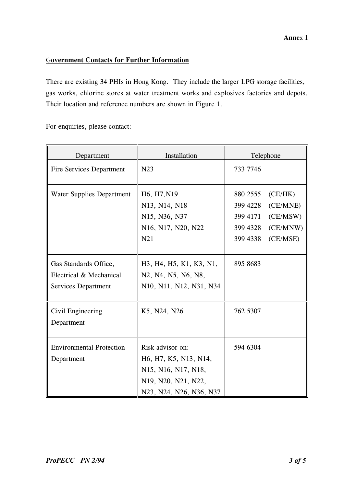#### Annex I

## Government Contacts for Further Information

 There are existing 34 PHIs in Hong Kong. They include the larger LPG storage facilities, gas works, chlorine stores at water treatment works and explosives factories and depots. Their location and reference numbers are shown in Figure 1.

For enquiries, please contact:

| Department                                                              | Installation                                                                                                       | Telephone                                                                                                           |  |
|-------------------------------------------------------------------------|--------------------------------------------------------------------------------------------------------------------|---------------------------------------------------------------------------------------------------------------------|--|
| <b>Fire Services Department</b>                                         | N23                                                                                                                | 733 7746                                                                                                            |  |
| <b>Water Supplies Department</b>                                        | H6, H7, N19<br>N13, N14, N18<br>N15, N36, N37<br>N16, N17, N20, N22<br>N21                                         | 880 2555<br>(CE/HK)<br>399 4228<br>(CE/MNE)<br>399 4171<br>(CE/MSW)<br>(CE/MNW)<br>399 4328<br>(CE/MSE)<br>399 4338 |  |
| Gas Standards Office,<br>Electrical & Mechanical<br>Services Department | H3, H4, H5, K1, K3, N1,<br>N2, N4, N5, N6, N8,<br>N10, N11, N12, N31, N34                                          | 895 8683                                                                                                            |  |
| Civil Engineering<br>Department                                         | K5, N24, N26                                                                                                       | 762 5307                                                                                                            |  |
| <b>Environmental Protection</b><br>Department                           | Risk advisor on:<br>H6, H7, K5, N13, N14,<br>N15, N16, N17, N18,<br>N19, N20, N21, N22,<br>N23, N24, N26, N36, N37 | 594 6304                                                                                                            |  |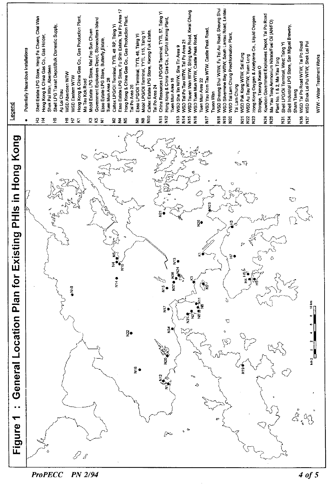

**ProPECC** PN 2/94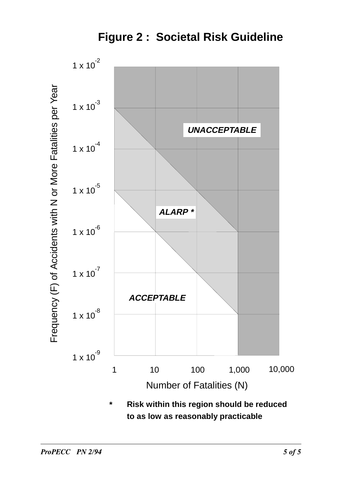**Figure 2 : Societal Risk Guideline**